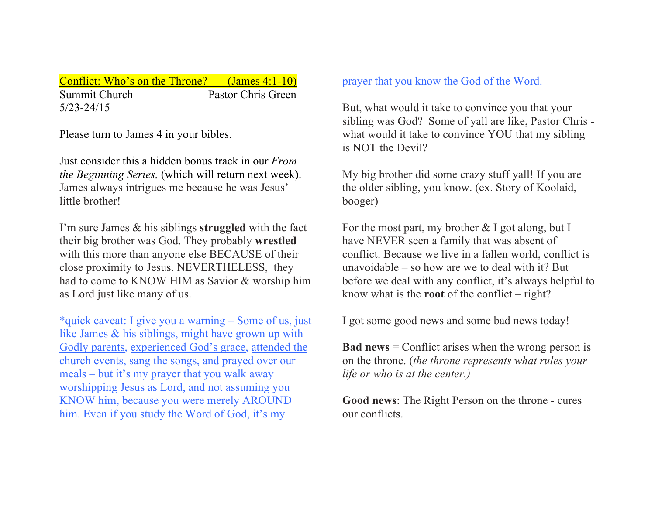# Conflict: Who's on the Throne? (James 4:1-10) Summit Church Pastor Chris Green 5/23-24/15

Please turn to James 4 in your bibles.

Just consider this a hidden bonus track in our *From the Beginning Series,* (which will return next week). James always intrigues me because he was Jesus' little brother!

I'm sure James & his siblings **struggled** with the fact their big brother was God. They probably **wrestled** with this more than anyone else BECAUSE of their close proximity to Jesus. NEVERTHELESS, they had to come to KNOW HIM as Savior & worship him as Lord just like many of us.

\*quick caveat: I give you a warning – Some of us, just like James & his siblings, might have grown up with Godly parents, experienced God's grace, attended the church events, sang the songs, and prayed over our meals – but it's my prayer that you walk away worshipping Jesus as Lord, and not assuming you KNOW him, because you were merely AROUND him. Even if you study the Word of God, it's my

# prayer that you know the God of the Word.

But, what would it take to convince you that your sibling was God? Some of yall are like, Pastor Chris what would it take to convince YOU that my sibling is NOT the Devil?

My big brother did some crazy stuff yall! If you are the older sibling, you know. (ex. Story of Koolaid, booger)

For the most part, my brother  $& I$  got along, but I have NEVER seen a family that was absent of conflict. Because we live in a fallen world, conflict is unavoidable – so how are we to deal with it? But before we deal with any conflict, it's always helpful to know what is the **root** of the conflict – right?

I got some good news and some bad news today!

**Bad news** = Conflict arises when the wrong person is on the throne. (*the throne represents what rules your life or who is at the center.)*

**Good news**: The Right Person on the throne - cures our conflicts.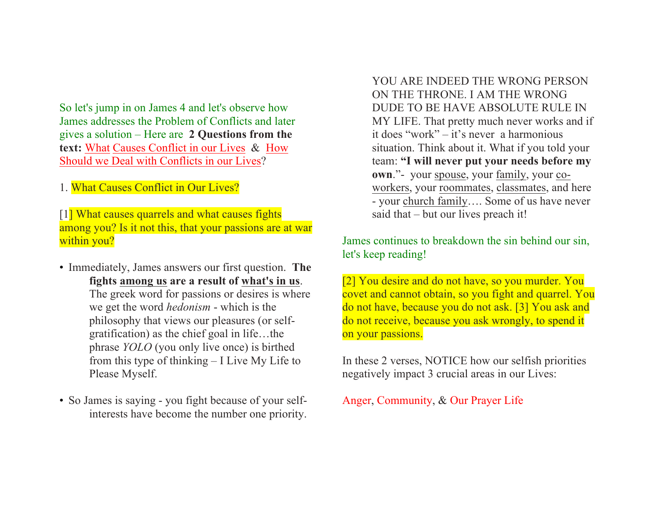So let's jump in on James 4 and let's observe how James addresses the Problem of Conflicts and later gives a solution – Here are **2 Questions from the text:** What Causes Conflict in our Lives & How Should we Deal with Conflicts in our Lives?

1. What Causes Conflict in Our Lives?

[1] What causes quarrels and what causes fights among you? Is it not this, that your passions are at war within you?

- Immediately, James answers our first question. **The fights among us are a result of what's in us**. The greek word for passions or desires is where we get the word *hedonism* - which is the philosophy that views our pleasures (or selfgratification) as the chief goal in life…the phrase *YOLO* (you only live once) is birthed from this type of thinking – I Live My Life to Please Myself.
- So James is saying you fight because of your selfinterests have become the number one priority.

YOU ARE INDEED THE WRONG PERSON ON THE THRONE. I AM THE WRONG DUDE TO BE HAVE ABSOLUTE RULE IN MY LIFE. That pretty much never works and if it does "work" – it's never a harmonious situation. Think about it. What if you told your team: **"I will never put your needs before my own**."- your spouse, your family, your coworkers, your roommates, classmates, and here - your church family…. Some of us have never said that – but our lives preach it!

James continues to breakdown the sin behind our sin, let's keep reading!

[2] You desire and do not have, so you murder. You covet and cannot obtain, so you fight and quarrel. You do not have, because you do not ask. [3] You ask and do not receive, because you ask wrongly, to spend it on your passions.

In these 2 verses, NOTICE how our selfish priorities negatively impact 3 crucial areas in our Lives:

Anger, Community, & Our Prayer Life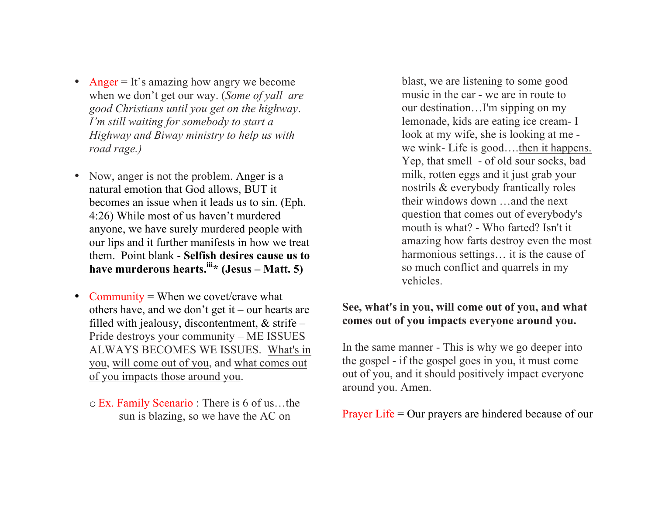- Anger  $=$  It's amazing how angry we become when we don't get our way. (*Some of yall are good Christians until you get on the highway*. *I'm still waiting for somebody to start a Highway and Biway ministry to help us with road rage.)*
- Now, anger is not the problem. Anger is a natural emotion that God allows, BUT it becomes an issue when it leads us to sin. (Eph. 4:26) While most of us haven't murdered anyone, we have surely murdered people with our lips and it further manifests in how we treat them. Point blank - **Selfish desires cause us to have murderous hearts. iii\* (Jesus – Matt. 5)**
- Community = When we covet/crave what others have, and we don't get it – our hearts are filled with jealousy, discontentment,  $\&$  strife – Pride destroys your community – ME ISSUES ALWAYS BECOMES WE ISSUES. What's in you, will come out of you, and what comes out of you impacts those around you.
	- o Ex. Family Scenario : There is 6 of us…the sun is blazing, so we have the AC on

blast, we are listening to some good music in the car - we are in route to our destination…I'm sipping on my lemonade, kids are eating ice cream- I look at my wife, she is looking at me we wink- Life is good….then it happens. Yep, that smell - of old sour socks, bad milk, rotten eggs and it just grab your nostrils & everybody frantically roles their windows down and the next question that comes out of everybody's mouth is what? - Who farted? Isn't it amazing how farts destroy even the most harmonious settings… it is the cause of so much conflict and quarrels in my vehicles.

#### **See, what's in you, will come out of you, and what comes out of you impacts everyone around you.**

In the same manner - This is why we go deeper into the gospel - if the gospel goes in you, it must come out of you, and it should positively impact everyone around you. Amen.

Prayer Life = Our prayers are hindered because of our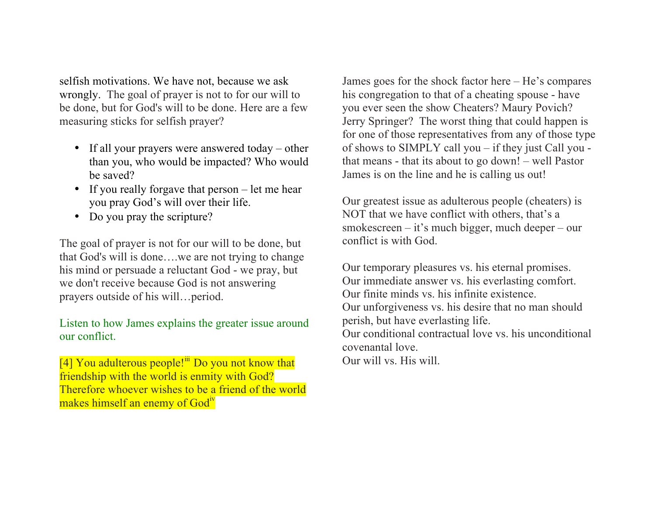selfish motivations. We have not, because we ask wrongly. The goal of prayer is not to for our will to be done, but for God's will to be done. Here are a few measuring sticks for selfish prayer?

- If all your prayers were answered today other than you, who would be impacted? Who would be saved?
- If you really for gave that person let me hear you pray God's will over their life.
- Do you pray the scripture?

The goal of prayer is not for our will to be done, but that God's will is done….we are not trying to change his mind or persuade a reluctant God - we pray, but we don't receive because God is not answering prayers outside of his will…period.

### Listen to how James explains the greater issue around our conflict.

[4] You adulterous people! $\ddot{ii}$  Do you not know that friendship with the world is enmity with God? Therefore whoever wishes to be a friend of the world makes himself an enemy of God<sup>iv</sup>

James goes for the shock factor here – He's compares his congregation to that of a cheating spouse - have you ever seen the show Cheaters? Maury Povich? Jerry Springer? The worst thing that could happen is for one of those representatives from any of those type of shows to SIMPLY call you – if they just Call you that means - that its about to go down! – well Pastor James is on the line and he is calling us out!

Our greatest issue as adulterous people (cheaters) is NOT that we have conflict with others, that's a smokescreen – it's much bigger, much deeper – our conflict is with God.

Our temporary pleasures vs. his eternal promises. Our immediate answer vs. his everlasting comfort. Our finite minds vs. his infinite existence. Our unforgiveness vs. his desire that no man should perish, but have everlasting life. Our conditional contractual love vs. his unconditional covenantal love. Our will vs. His will.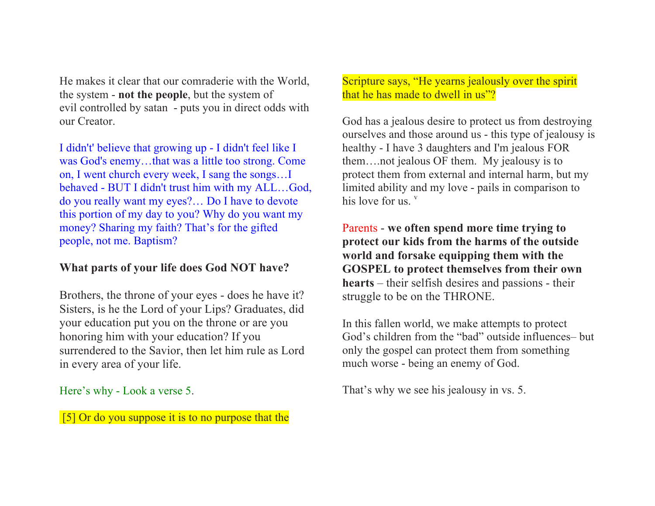He makes it clear that our comraderie with the World, the system - **not the people**, but the system of evil controlled by satan - puts you in direct odds with our Creator.

I didn't' believe that growing up - I didn't feel like I was God's enemy…that was a little too strong. Come on, I went church every week, I sang the songs…I behaved - BUT I didn't trust him with my ALL…God, do you really want my eyes?… Do I have to devote this portion of my day to you? Why do you want my money? Sharing my faith? That's for the gifted people, not me. Baptism?

# **What parts of your life does God NOT have?**

Brothers, the throne of your eyes - does he have it? Sisters, is he the Lord of your Lips? Graduates, did your education put you on the throne or are you honoring him with your education? If you surrendered to the Savior, then let him rule as Lord in every area of your life.

Here's why - Look a verse 5.

[5] Or do you suppose it is to no purpose that the

Scripture says, "He yearns jealously over the spirit that he has made to dwell in us"?

God has a jealous desire to protect us from destroying ourselves and those around us - this type of jealousy is healthy - I have 3 daughters and I'm jealous FOR them….not jealous OF them. My jealousy is to protect them from external and internal harm, but my limited ability and my love - pails in comparison to his love for us.  $V$ 

Parents - **we often spend more time trying to protect our kids from the harms of the outside world and forsake equipping them with the GOSPEL to protect themselves from their own hearts** – their selfish desires and passions - their struggle to be on the THRONE.

In this fallen world, we make attempts to protect God's children from the "bad" outside influences– but only the gospel can protect them from something much worse - being an enemy of God.

That's why we see his jealousy in vs. 5.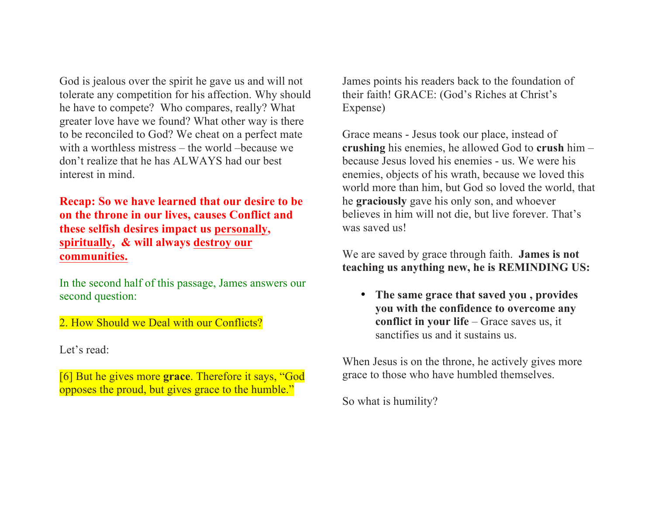God is jealous over the spirit he gave us and will not tolerate any competition for his affection. Why should he have to compete? Who compares, really? What greater love have we found? What other way is there to be reconciled to God? We cheat on a perfect mate with a worthless mistress – the world –because we don't realize that he has ALWAYS had our best interest in mind.

# **Recap: So we have learned that our desire to be on the throne in our lives, causes Conflict and these selfish desires impact us personally, spiritually, & will always destroy our communities.**

In the second half of this passage, James answers our second question:

### 2. How Should we Deal with our Conflicts?

### Let's read:

[6] But he gives more **grace**. Therefore it says, "God opposes the proud, but gives grace to the humble."

James points his readers back to the foundation of their faith! GRACE: (God's Riches at Christ's Expense)

Grace means - Jesus took our place, instead of **crushing** his enemies, he allowed God to **crush** him – because Jesus loved his enemies - us. We were his enemies, objects of his wrath, because we loved this world more than him, but God so loved the world, that he **graciously** gave his only son, and whoever believes in him will not die, but live forever. That's was saved us!

We are saved by grace through faith. **James is not teaching us anything new, he is REMINDING US:**

• **The same grace that saved you , provides you with the confidence to overcome any conflict in your life** – Grace saves us, it sanctifies us and it sustains us.

When Jesus is on the throne, he actively gives more grace to those who have humbled themselves.

So what is humility?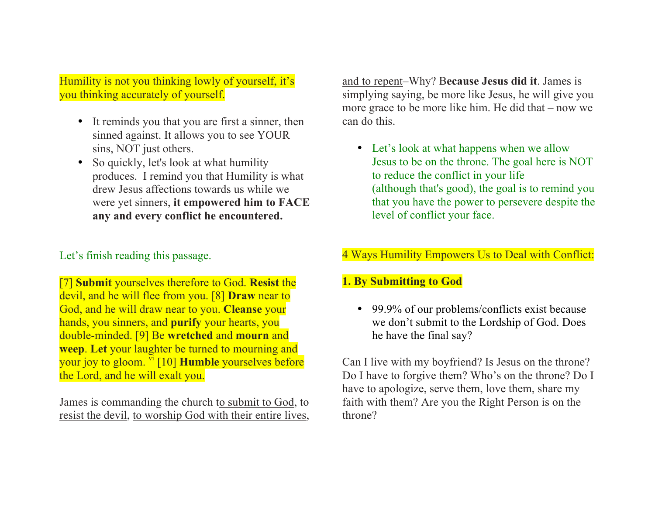Humility is not you thinking lowly of yourself, it's you thinking accurately of yourself.

- It reminds you that you are first a sinner, then sinned against. It allows you to see YOUR sins, NOT just others.
- So quickly, let's look at what humility produces. I remind you that Humility is what drew Jesus affections towards us while we were yet sinners, **it empowered him to FACE any and every conflict he encountered.**

#### Let's finish reading this passage.

[7] **Submit** yourselves therefore to God. **Resist** the devil, and he will flee from you. [8] **Draw** near to God, and he will draw near to you. **Cleanse** your hands, you sinners, and **purify** your hearts, you double-minded. [9] Be **wretched** and **mourn** and **weep**. **Let** your laughter be turned to mourning and your joy to gloom. vi [10] **Humble** yourselves before the Lord, and he will exalt you.

James is commanding the church to submit to God, to resist the devil, to worship God with their entire lives,

and to repent–Why? B**ecause Jesus did it**. James is simplying saying, be more like Jesus, he will give you more grace to be more like him. He did that – now we can do this.

• Let's look at what happens when we allow Jesus to be on the throne. The goal here is NOT to reduce the conflict in your life (although that's good), the goal is to remind you that you have the power to persevere despite the level of conflict your face.

# 4 Ways Humility Empowers Us to Deal with Conflict:

### **1. By Submitting to God**

• 99.9% of our problems/conflicts exist because we don't submit to the Lordship of God. Does he have the final say?

Can I live with my boyfriend? Is Jesus on the throne? Do I have to forgive them? Who's on the throne? Do I have to apologize, serve them, love them, share my faith with them? Are you the Right Person is on the throne?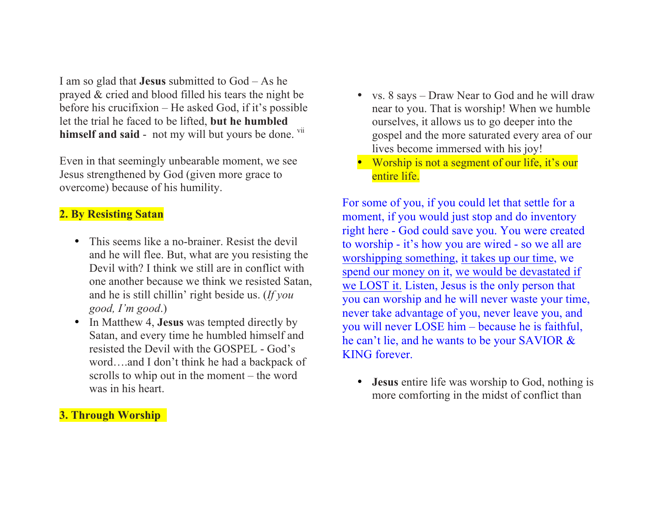I am so glad that **Jesus** submitted to God – As he prayed & cried and blood filled his tears the night be before his crucifixion – He asked God, if it's possible let the trial he faced to be lifted, **but he humbled**  himself and said - not my will but yours be done. vii

Even in that seemingly unbearable moment, we see Jesus strengthened by God (given more grace to overcome) because of his humility.

# **2. By Resisting Satan**

- This seems like a no-brainer. Resist the devil and he will flee. But, what are you resisting the Devil with? I think we still are in conflict with one another because we think we resisted Satan, and he is still chillin' right beside us. (*If you good, I'm good*.)
- In Matthew 4, **Jesus** was tempted directly by Satan, and every time he humbled himself and resisted the Devil with the GOSPEL - God's word….and I don't think he had a backpack of scrolls to whip out in the moment – the word was in his heart.

# **3. Through Worship**

- vs. 8 says Draw Near to God and he will draw near to you. That is worship! When we humble ourselves, it allows us to go deeper into the gospel and the more saturated every area of our lives become immersed with his joy!
- Worship is not a segment of our life, it's our entire life.

For some of you, if you could let that settle for a moment, if you would just stop and do inventory right here - God could save you. You were created to worship - it's how you are wired - so we all are worshipping something, it takes up our time, we spend our money on it, we would be devastated if we LOST it. Listen, Jesus is the only person that you can worship and he will never waste your time, never take advantage of you, never leave you, and you will never LOSE him – because he is faithful, he can't lie, and he wants to be your SAVIOR & KING forever.

• **Jesus** entire life was worship to God, nothing is more comforting in the midst of conflict than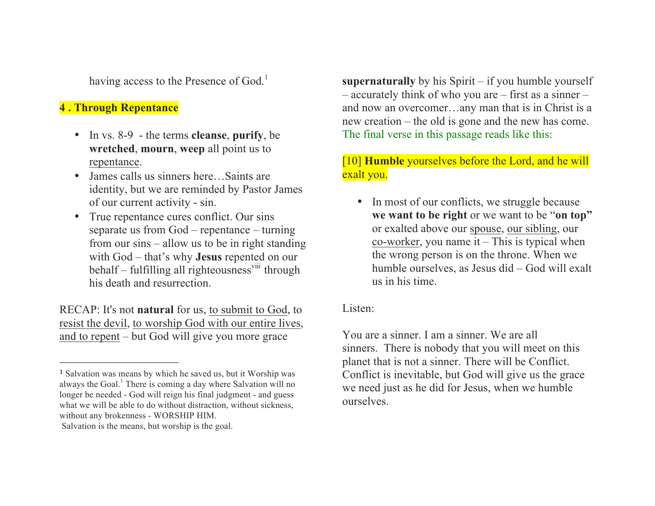having access to the Presence of God.<sup>1</sup>

# **4 . Through Repentance**

- In vs. 8-9 the terms **cleanse**, **purify**, be **wretched**, **mourn**, **weep** all point us to repentance.
- James calls us sinners here Saints are identity, but we are reminded by Pastor James of our current activity - sin.
- True repentance cures conflict. Our sins separate us from God – repentance – turning from our sins – allow us to be in right standing with God – that's why **Jesus** repented on our behalf – fulfilling all righteousness<sup>viii</sup> through his death and resurrection.

RECAP: It's not **natural** for us, to submit to God, to resist the devil, to worship God with our entire lives, and to repent – but God will give you more grace

Salvation is the means, but worship is the goal.

 

**supernaturally** by his Spirit – if you humble yourself – accurately think of who you are – first as a sinner – and now an overcomer…any man that is in Christ is a new creation – the old is gone and the new has come. The final verse in this passage reads like this:

# [10] **Humble** yourselves before the Lord, and he will exalt you.

• In most of our conflicts, we struggle because **we want to be right** or we want to be "**on top"** or exalted above our spouse, our sibling, our  $\alpha$ -worker, you name it – This is typical when the wrong person is on the throne. When we humble ourselves, as Jesus did – God will exalt us in his time.

#### Listen:

You are a sinner. I am a sinner. We are all sinners. There is nobody that you will meet on this planet that is not a sinner. There will be Conflict. Conflict is inevitable, but God will give us the grace we need just as he did for Jesus, when we humble ourselves.

<sup>1</sup> Salvation was means by which he saved us, but it Worship was always the Goal.<sup>1</sup> There is coming a day where Salvation will no longer be needed - God will reign his final judgment - and guess what we will be able to do without distraction, without sickness, without any brokenness - WORSHIP HIM.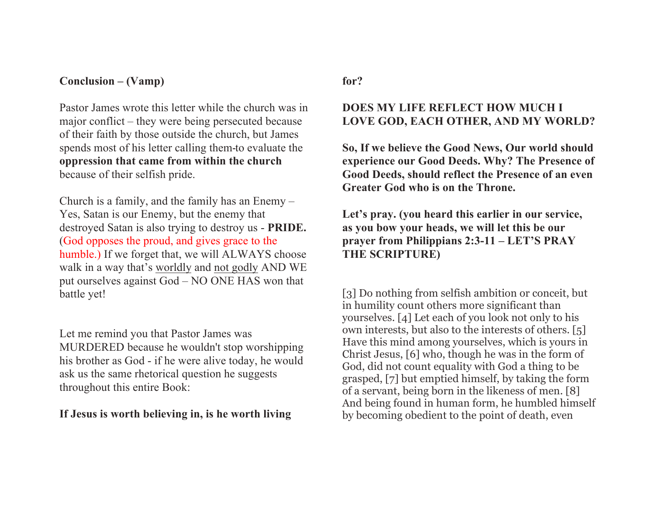#### **Conclusion – (Vamp)**

Pastor James wrote this letter while the church was in major conflict – they were being persecuted because of their faith by those outside the church, but James spends most of his letter calling them to evaluate the **oppression that came from within the church** because of their selfish pride.

Church is a family, and the family has an Enemy – Yes, Satan is our Enemy, but the enemy that destroyed Satan is also trying to destroy us - **PRIDE.** (God opposes the proud, and gives grace to the humble.) If we forget that, we will ALWAYS choose walk in a way that's worldly and not godly AND WE put ourselves against God – NO ONE HAS won that battle yet!

Let me remind you that Pastor James was MURDERED because he wouldn't stop worshipping his brother as God - if he were alive today, he would ask us the same rhetorical question he suggests throughout this entire Book:

#### **If Jesus is worth believing in, is he worth living**

**for?** 

# **DOES MY LIFE REFLECT HOW MUCH I LOVE GOD, EACH OTHER, AND MY WORLD?**

**So, If we believe the Good News, Our world should experience our Good Deeds. Why? The Presence of Good Deeds, should reflect the Presence of an even Greater God who is on the Throne.**

**Let's pray. (you heard this earlier in our service, as you bow your heads, we will let this be our prayer from Philippians 2:3-11 – LET'S PRAY THE SCRIPTURE)**

[3] Do nothing from selfish ambition or conceit, but in humility count others more significant than yourselves. [4] Let each of you look not only to his own interests, but also to the interests of others. [5] Have this mind among yourselves, which is yours in Christ Jesus, [6] who, though he was in the form of God, did not count equality with God a thing to be grasped, [7] but emptied himself, by taking the form of a servant, being born in the likeness of men. [8] And being found in human form, he humbled himself by becoming obedient to the point of death, even